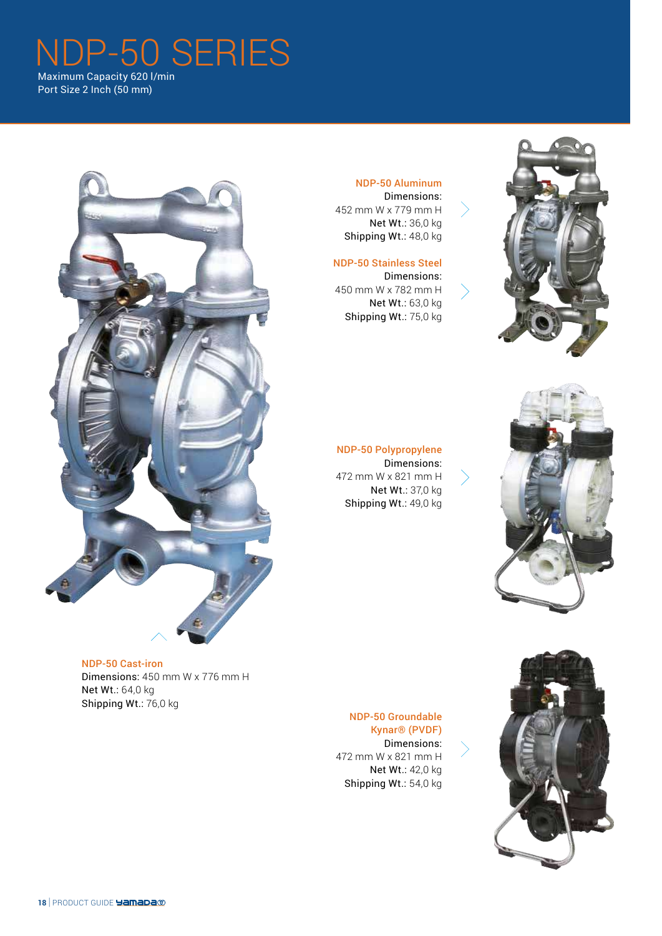## DP-50 SERIES Maximum Capacity 620 l/min

Port Size 2 Inch (50 mm)



#### NDP-50 Cast-iron

Dimensions: 450 mm W x 776 mm H Net Wt.: 64,0 kg Shipping Wt.: 76,0 kg

#### NDP-50 Aluminum Dimensions:

452 mm W x 779 mm H Net Wt.: 36,0 kg Shipping Wt.: 48,0 kg

#### NDP-50 Stainless Steel

Dimensions: 450 mm W x 782 mm H Net Wt.: 63,0 kg Shipping Wt.: 75,0 kg





#### NDP-50 Polypropylene Dimensions: 472 mm W x 821 mm H Net Wt.: 37,0 kg Shipping Wt.: 49,0 kg

NDP-50 Groundable Kynar® (PVDF) Dimensions: 472 mm W x 821 mm H Net Wt.: 42,0 kg Shipping Wt.: 54,0 kg